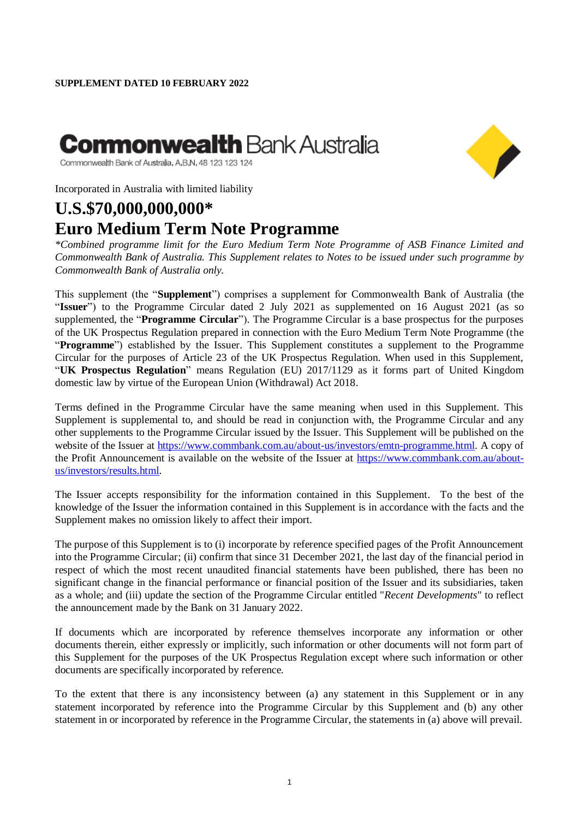# **Commonwealth** Bank Austra**l**ia



Commonwealth Bank of Australia, A,B,N, 48 123 123 124

Incorporated in Australia with limited liability

# **U.S.\$70,000,000,000\* Euro Medium Term Note Programme**

*\*Combined programme limit for the Euro Medium Term Note Programme of ASB Finance Limited and Commonwealth Bank of Australia. This Supplement relates to Notes to be issued under such programme by Commonwealth Bank of Australia only.*

This supplement (the "**Supplement**") comprises a supplement for Commonwealth Bank of Australia (the "**Issuer**") to the Programme Circular dated 2 July 2021 as supplemented on 16 August 2021 (as so supplemented, the "**Programme Circular**"). The Programme Circular is a base prospectus for the purposes of the UK Prospectus Regulation prepared in connection with the Euro Medium Term Note Programme (the "**Programme**") established by the Issuer. This Supplement constitutes a supplement to the Programme Circular for the purposes of Article 23 of the UK Prospectus Regulation. When used in this Supplement, "**UK Prospectus Regulation**" means Regulation (EU) 2017/1129 as it forms part of United Kingdom domestic law by virtue of the European Union (Withdrawal) Act 2018.

Terms defined in the Programme Circular have the same meaning when used in this Supplement. This Supplement is supplemental to, and should be read in conjunction with, the Programme Circular and any other supplements to the Programme Circular issued by the Issuer. This Supplement will be published on the website of the Issuer at [https://www.commbank.com.au/about-us/investors/emtn-programme.html.](https://www.commbank.com.au/about-us/investors/emtn-programme.html) A copy of the Profit Announcement is available on the website of the Issuer at [https://www.commbank.com.au/about](https://www.commbank.com.au/about-us/investors/results.html)[us/investors/results.html.](https://www.commbank.com.au/about-us/investors/results.html)

The Issuer accepts responsibility for the information contained in this Supplement. To the best of the knowledge of the Issuer the information contained in this Supplement is in accordance with the facts and the Supplement makes no omission likely to affect their import.

The purpose of this Supplement is to (i) incorporate by reference specified pages of the Profit Announcement into the Programme Circular; (ii) confirm that since 31 December 2021, the last day of the financial period in respect of which the most recent unaudited financial statements have been published, there has been no significant change in the financial performance or financial position of the Issuer and its subsidiaries, taken as a whole; and (iii) update the section of the Programme Circular entitled "*Recent Developments*" to reflect the announcement made by the Bank on 31 January 2022.

If documents which are incorporated by reference themselves incorporate any information or other documents therein, either expressly or implicitly, such information or other documents will not form part of this Supplement for the purposes of the UK Prospectus Regulation except where such information or other documents are specifically incorporated by reference.

To the extent that there is any inconsistency between (a) any statement in this Supplement or in any statement incorporated by reference into the Programme Circular by this Supplement and (b) any other statement in or incorporated by reference in the Programme Circular, the statements in (a) above will prevail.